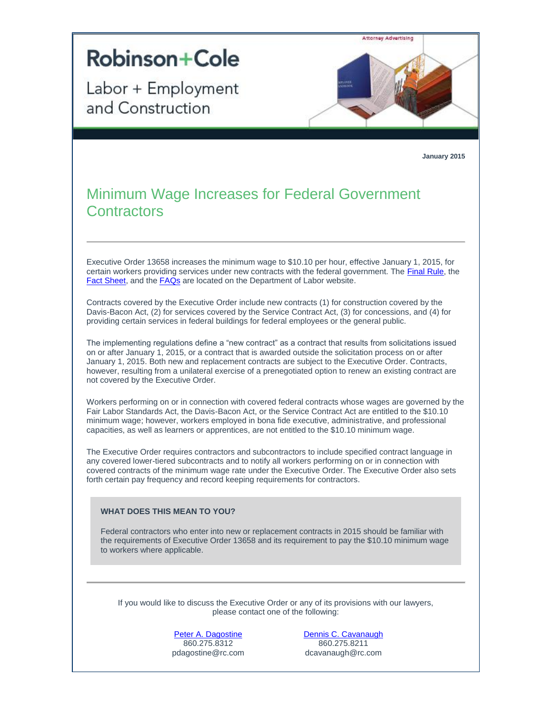

[Peter A. Dagostine](http://t2806904.omkt.co/track.aspx?id=402|2AD478|6F10|19C|921|0|869|1|480FE731&destination=http%3a%2f%2fwww.rc.com%2fpeople%2fPeterADagostine.cfm%3futm_source%3dVocus%26utm_medium%3demail%26utm_campaign%3dRobinson%2b%2526%2bCole%2bLLP%26utm_content%3dBLELLCN%2bUpdate%2b%2bJanuary%2b2015&dchk=4406EE80) 860.275.8312 pdagostine@rc.com [Dennis C. Cavanaugh](http://t2806904.omkt.co/track.aspx?id=402|2AD478|6F10|19C|921|0|86A|1|480FE731&destination=http%3a%2f%2fwww.rc.com%2fpeople%2fDennisCCavanaugh.cfm%3futm_source%3dVocus%26utm_medium%3demail%26utm_campaign%3dRobinson%2b%2526%2bCole%2bLLP%26utm_content%3dBLELLCN%2bUpdate%2b%2bJanuary%2b2015&dchk=3220556E) 860.275.8211 dcavanaugh@rc.com